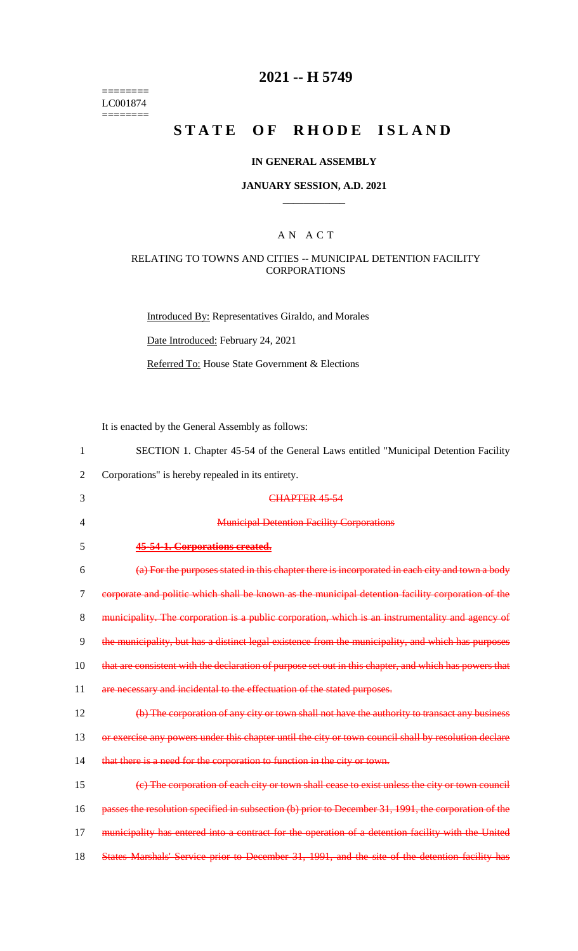======== LC001874  $=$ 

## **2021 -- H 5749**

# STATE OF RHODE ISLAND

## **IN GENERAL ASSEMBLY**

#### **JANUARY SESSION, A.D. 2021 \_\_\_\_\_\_\_\_\_\_\_\_**

## A N A C T

## RELATING TO TOWNS AND CITIES -- MUNICIPAL DETENTION FACILITY **CORPORATIONS**

Introduced By: Representatives Giraldo, and Morales

Date Introduced: February 24, 2021

Referred To: House State Government & Elections

It is enacted by the General Assembly as follows:

| 1              | SECTION 1. Chapter 45-54 of the General Laws entitled "Municipal Detention Facility                    |
|----------------|--------------------------------------------------------------------------------------------------------|
| $\overline{2}$ | Corporations" is hereby repealed in its entirety.                                                      |
| 3              | CHAPTER 45-54                                                                                          |
| 4              | <b>Municipal Detention Facility Corporations</b>                                                       |
| 5              | 45-54-1. Corporations created.                                                                         |
| 6              | (a) For the purposes stated in this chapter there is incorporated in each city and town a body         |
| 7              | corporate and politic which shall be known as the municipal detention facility corporation of the      |
| 8              | municipality. The corporation is a public corporation, which is an instrumentality and agency of       |
| 9              | the municipality, but has a distinct legal existence from the municipality, and which has purposes     |
| 10             | that are consistent with the declaration of purpose set out in this chapter, and which has powers that |
| 11             | are necessary and incidental to the effectuation of the stated purposes.                               |
| 12             | (b) The corporation of any city or town shall not have the authority to transact any business          |
| 13             | or exercise any powers under this chapter until the city or town council shall by resolution declare   |
| 14             | that there is a need for the corporation to function in the city or town.                              |
| 15             | (e) The corporation of each city or town shall cease to exist unless the city or town council          |
| 16             | passes the resolution specified in subsection (b) prior to December 31, 1991, the corporation of the   |
| 17             | municipality has entered into a contract for the operation of a detention facility with the United     |
| 18             | States Marshals' Service prior to December 31, 1991, and the site of the detention facility has        |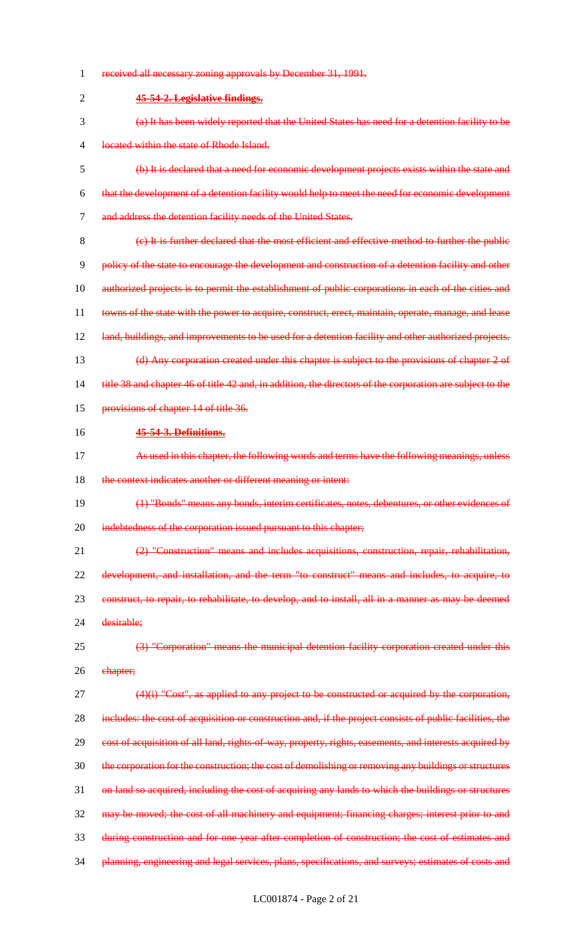| 1              | received all necessary zoning approvals by December 31, 1991.                                             |
|----------------|-----------------------------------------------------------------------------------------------------------|
| $\overline{2}$ | 45-54-2. Legislative findings.                                                                            |
| 3              | (a) It has been widely reported that the United States has need for a detention facility to be            |
| 4              | located within the state of Rhode Island.                                                                 |
| 5              | (b) It is declared that a need for economic development projects exists within the state and              |
| 6              | that the development of a detention facility would help to meet the need for economic development         |
| $\tau$         | and address the detention facility needs of the United States.                                            |
| 8              | (e) It is further declared that the most efficient and effective method to further the public             |
| 9              | policy of the state to encourage the development and construction of a detention facility and other       |
| 10             | authorized projects is to permit the establishment of public corporations in each of the cities and       |
| 11             | towns of the state with the power to acquire, construct, erect, maintain, operate, manage, and lease      |
| 12             | land, buildings, and improvements to be used for a detention facility and other authorized projects.      |
| 13             | (d) Any corporation created under this chapter is subject to the provisions of chapter 2 of               |
| 14             | title 38 and chapter 46 of title 42 and, in addition, the directors of the corporation are subject to the |
| 15             | provisions of chapter 14 of title 36.                                                                     |
| 16             | 45-54-3. Definitions.                                                                                     |
| 17             | As used in this chapter, the following words and terms have the following meanings, unless                |
| 18             | the context indicates another or different meaning or intent:                                             |
| 19             | (1) "Bonds" means any bonds, interim certificates, notes, debentures, or other evidences of               |
| 20             | indebtedness of the corporation issued pursuant to this chapter;                                          |
| 21             | (2) "Construction" means and includes acquisitions, construction, repair, rehabilitation,                 |
| 22             | development, and installation, and the term "to construct" means and includes, to acquire, to             |
| 23             | construct, to repair, to rehabilitate, to develop, and to install, all in a manner as may be deemed       |
| 24             | desirable;                                                                                                |
| 25             | (3) "Corporation" means the municipal detention facility corporation created under this                   |
| 26             | ehapter;                                                                                                  |
| 27             | "Cost", as applied to any project to be constructed or acquired by the corporation,                       |
| 28             | includes: the cost of acquisition or construction and, if the project consists of public facilities, the  |
| 29             | cost of acquisition of all land, rights of way, property, rights, easements, and interests acquired by    |
| 30             | the corporation for the construction; the cost of demolishing or removing any buildings or structures     |
| 31             | on land so acquired, including the cost of acquiring any lands to which the buildings or structures       |
| 32             | may be moved; the cost of all machinery and equipment; financing charges; interest prior to and           |
| 33             | during construction and for one year after completion of construction; the cost of estimates and          |
|                | planning, engineering and legal services, plans, specifications, and surveys; estimates of costs and      |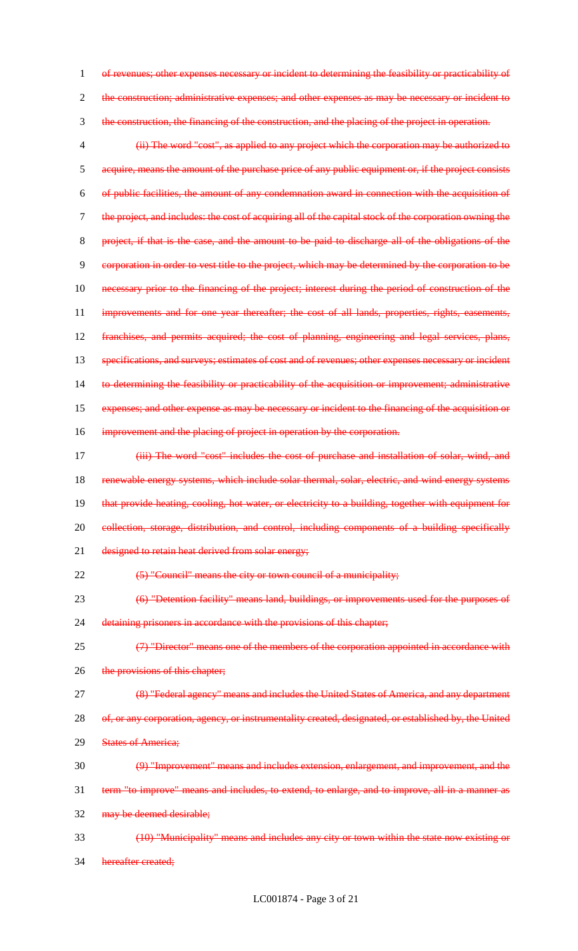1 of revenues; other expenses necessary or incident to determining the feasibility or practicability of 2 the construction; administrative expenses; and other expenses as may be necessary or incident to 3 the construction, the financing of the construction, and the placing of the project in operation. 4 (ii) The word "cost", as applied to any project which the corporation may be authorized to 5 acquire, means the amount of the purchase price of any public equipment or, if the project consists 6 of public facilities, the amount of any condemnation award in connection with the acquisition of 7 the project, and includes: the cost of acquiring all of the capital stock of the corporation owning the 8 project, if that is the case, and the amount to be paid to discharge all of the obligations of the 9 corporation in order to vest title to the project, which may be determined by the corporation to be 10 necessary prior to the financing of the project; interest during the period of construction of the 11 improvements and for one year thereafter; the cost of all lands, properties, rights, easements, 12 franchises, and permits acquired; the cost of planning, engineering and legal services, plans, 13 specifications, and surveys; estimates of cost and of revenues; other expenses necessary or incident 14 to determining the feasibility or practicability of the acquisition or improvement; administrative 15 expenses; and other expense as may be necessary or incident to the financing of the acquisition or 16 improvement and the placing of project in operation by the corporation. 17 **(iii) The word "cost" includes the cost of purchase and installation of solar, wind, and** 18 renewable energy systems, which include solar thermal, solar, electric, and wind energy systems 19 that provide heating, cooling, hot water, or electricity to a building, together with equipment for 20 collection, storage, distribution, and control, including components of a building specifically 21 designed to retain heat derived from solar energy; 22 (5) "Council" means the city or town council of a municipality; 23 (6) "Detention facility" means land, buildings, or improvements used for the purposes of 24 detaining prisoners in accordance with the provisions of this chapter; 25 (7) "Director" means one of the members of the corporation appointed in accordance with 26 the provisions of this chapter; 27 (8) "Federal agency" means and includes the United States of America, and any department 28 of, or any corporation, agency, or instrumentality created, designated, or established by, the United 29 States of America; 30 (9) "Improvement" means and includes extension, enlargement, and improvement, and the 31 term "to improve" means and includes, to extend, to enlarge, and to improve, all in a manner as 32 may be deemed desirable; 33 (10) "Municipality" means and includes any city or town within the state now existing or 34 hereafter created;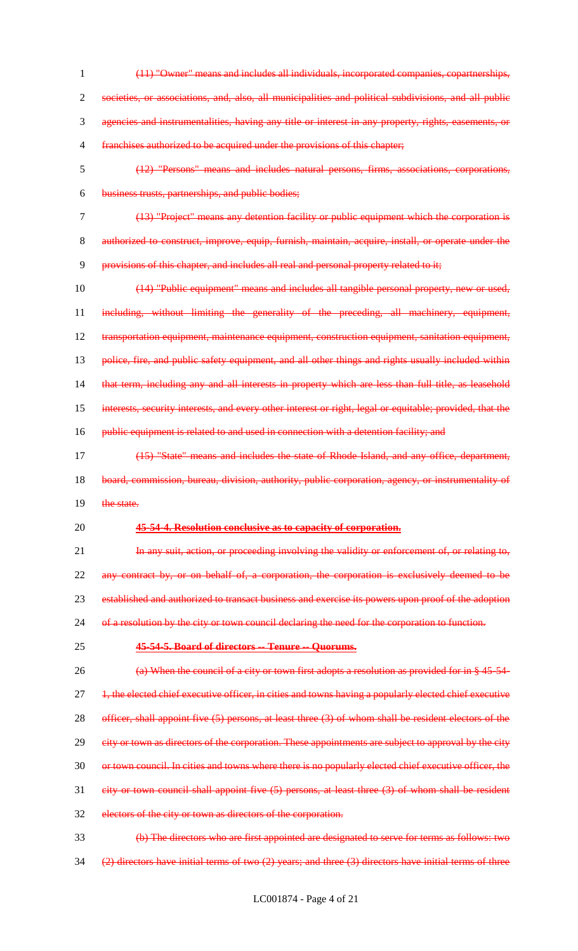- 1 (11) "Owner" means and includes all individuals, incorporated companies, copartnerships, 2 societies, or associations, and, also, all municipalities and political subdivisions, and all public 3 agencies and instrumentalities, having any title or interest in any property, rights, easements, or 4 franchises authorized to be acquired under the provisions of this chapter; 5 (12) "Persons" means and includes natural persons, firms, associations, corporations, 6 business trusts, partnerships, and public bodies; 7 (13) "Project" means any detention facility or public equipment which the corporation is 8 authorized to construct, improve, equip, furnish, maintain, acquire, install, or operate under the 9 provisions of this chapter, and includes all real and personal property related to it; 10 (14) "Public equipment" means and includes all tangible personal property, new or used, 11 including, without limiting the generality of the preceding, all machinery, equipment, 12 transportation equipment, maintenance equipment, construction equipment, sanitation equipment, 13 police, fire, and public safety equipment, and all other things and rights usually included within 14 that term, including any and all interests in property which are less than full title, as leasehold 15 interests, security interests, and every other interest or right, legal or equitable; provided, that the 16 public equipment is related to and used in connection with a detention facility; and 17 (15) "State" means and includes the state of Rhode Island, and any office, department, 18 board, commission, bureau, division, authority, public corporation, agency, or instrumentality of 19 the state. 20 **45-54-4. Resolution conclusive as to capacity of corporation.** 21 In any suit, action, or proceeding involving the validity or enforcement of, or relating to, 22 any contract by, or on behalf of, a corporation, the corporation is exclusively deemed to be 23 established and authorized to transact business and exercise its powers upon proof of the adoption 24 of a resolution by the city or town council declaring the need for the corporation to function. 25 **45-54-5. Board of directors -- Tenure -- Quorums.** 26 (a) When the council of a city or town first adopts a resolution as provided for in § 45-54-27 <del>1, the elected chief executive officer, in cities and towns having a popularly elected chief executive</del> 28 officer, shall appoint five (5) persons, at least three (3) of whom shall be resident electors of the 29 eity or town as directors of the corporation. These appointments are subject to approval by the city 30 or town council. In cities and towns where there is no popularly elected chief executive officer, the 31 city or town council shall appoint five (5) persons, at least three (3) of whom shall be resident 32 electors of the city or town as directors of the corporation. 33 (b) The directors who are first appointed are designated to serve for terms as follows: two
- 34  $(2)$  directors have initial terms of two  $(2)$  years; and three  $(3)$  directors have initial terms of three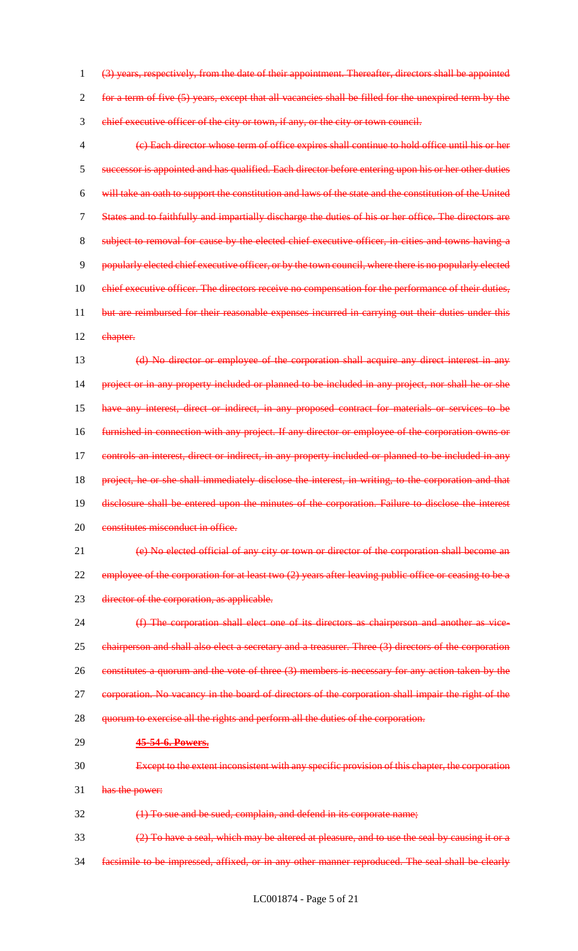(3) years, respectively, from the date of their appointment. Thereafter, directors shall be appointed for a term of five (5) years, except that all vacancies shall be filled for the unexpired term by the chief executive officer of the city or town, if any, or the city or town council.

 (c) Each director whose term of office expires shall continue to hold office until his or her successor is appointed and has qualified. Each director before entering upon his or her other duties will take an oath to support the constitution and laws of the state and the constitution of the United States and to faithfully and impartially discharge the duties of his or her office. The directors are subject to removal for cause by the elected chief executive officer, in cities and towns having a popularly elected chief executive officer, or by the town council, where there is no popularly elected 10 chief executive officer. The directors receive no compensation for the performance of their duties, 11 but are reimbursed for their reasonable expenses incurred in carrying out their duties under this 12 ehapter.

 (d) No director or employee of the corporation shall acquire any direct interest in any project or in any property included or planned to be included in any project, nor shall he or she have any interest, direct or indirect, in any proposed contract for materials or services to be furnished in connection with any project. If any director or employee of the corporation owns or controls an interest, direct or indirect, in any property included or planned to be included in any project, he or she shall immediately disclose the interest, in writing, to the corporation and that disclosure shall be entered upon the minutes of the corporation. Failure to disclose the interest 20 constitutes misconduct in office.

 (e) No elected official of any city or town or director of the corporation shall become an 22 employee of the corporation for at least two (2) years after leaving public office or ceasing to be a 23 director of the corporation, as applicable.

 (f) The corporation shall elect one of its directors as chairperson and another as vice-25 chairperson and shall also elect a secretary and a treasurer. Three (3) directors of the corporation 26 constitutes a quorum and the vote of three (3) members is necessary for any action taken by the corporation. No vacancy in the board of directors of the corporation shall impair the right of the 28 quorum to exercise all the rights and perform all the duties of the corporation.

#### **45-54-6. Powers.**

Except to the extent inconsistent with any specific provision of this chapter, the corporation

has the power:

(1) To sue and be sued, complain, and defend in its corporate name;

(2) To have a seal, which may be altered at pleasure, and to use the seal by causing it or a

facsimile to be impressed, affixed, or in any other manner reproduced. The seal shall be clearly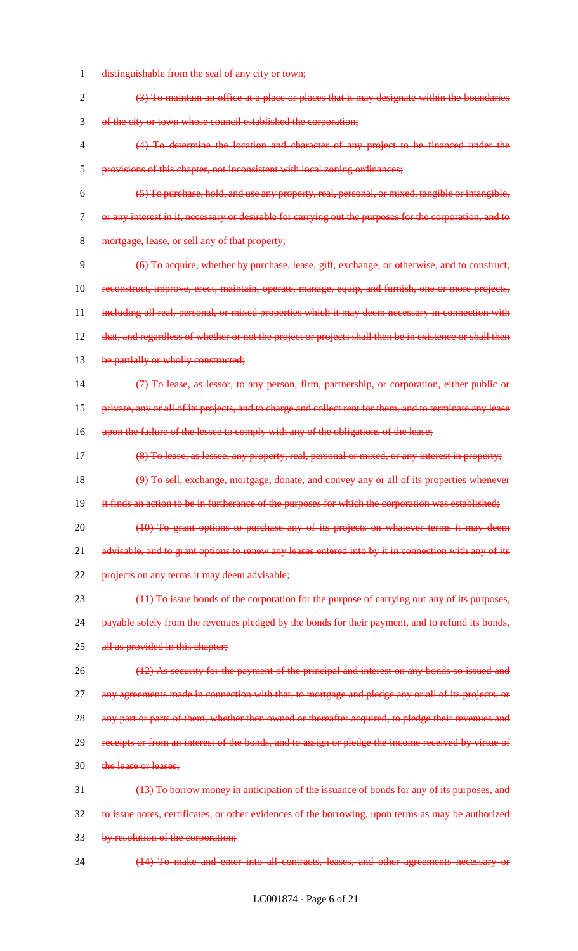- 1 distinguishable from the seal of any city or town;
- 2 (3) To maintain an office at a place or places that it may designate within the boundaries 3 of the city or town whose council established the corporation;
- 4 (4) To determine the location and character of any project to be financed under the 5 provisions of this chapter, not inconsistent with local zoning ordinances;
- 6 (5) To purchase, hold, and use any property, real, personal, or mixed, tangible or intangible, 7 or any interest in it, necessary or desirable for carrying out the purposes for the corporation, and to 8 mortgage, lease, or sell any of that property;
- 9 (6) To acquire, whether by purchase, lease, gift, exchange, or otherwise, and to construct, 10 reconstruct, improve, erect, maintain, operate, manage, equip, and furnish, one or more projects, 11 including all real, personal, or mixed properties which it may deem necessary in connection with 12 that, and regardless of whether or not the project or projects shall then be in existence or shall then 13 be partially or wholly constructed;
- 14 (7) To lease, as lessor, to any person, firm, partnership, or corporation, either public or
- 15 private, any or all of its projects, and to charge and collect rent for them, and to terminate any lease
- 16 upon the failure of the lessee to comply with any of the obligations of the lease;
- 17 (8) To lease, as lessee, any property, real, personal or mixed, or any interest in property;
- 18 (9) To sell, exchange, mortgage, donate, and convey any or all of its properties whenever
- 19 it finds an action to be in furtherance of the purposes for which the corporation was established;
- 20 (10) To grant options to purchase any of its projects on whatever terms it may deem 21 advisable, and to grant options to renew any leases entered into by it in connection with any of its 22 projects on any terms it may deem advisable;
- 23 (11) To issue bonds of the corporation for the purpose of carrying out any of its purposes, 24 payable solely from the revenues pledged by the bonds for their payment, and to refund its bonds, 25 all as provided in this chapter;
- 26 (12) As security for the payment of the principal and interest on any bonds so issued and 27 any agreements made in connection with that, to mortgage and pledge any or all of its projects, or 28 any part or parts of them, whether then owned or thereafter acquired, to pledge their revenues and 29 receipts or from an interest of the bonds, and to assign or pledge the income received by virtue of
- 30 the lease or leases;
- 31 (13) To borrow money in anticipation of the issuance of bonds for any of its purposes, and 32 to issue notes, certificates, or other evidences of the borrowing, upon terms as may be authorized 33 by resolution of the corporation;
- 34 (14) To make and enter into all contracts, leases, and other agreements necessary or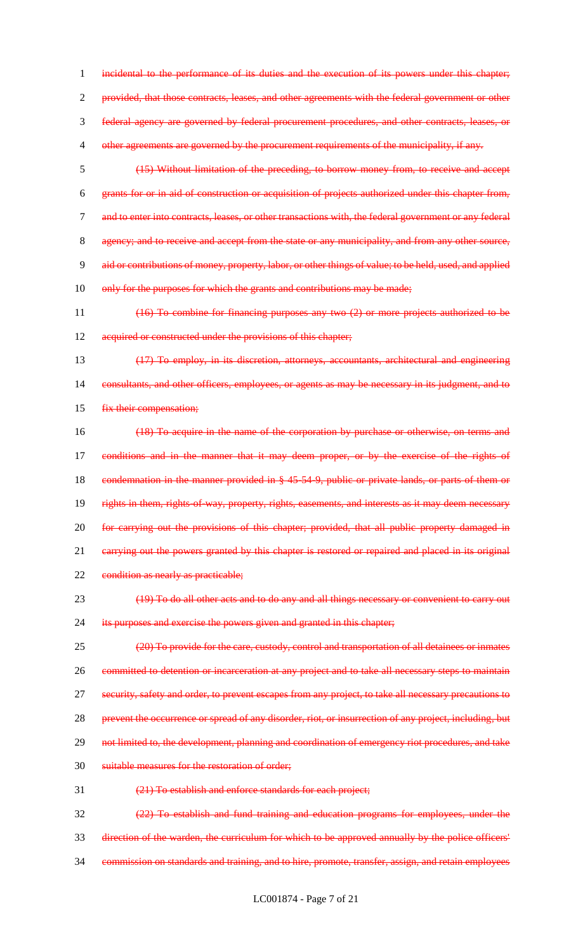incidental to the performance of its duties and the execution of its powers under this chapter; provided, that those contracts, leases, and other agreements with the federal government or other federal agency are governed by federal procurement procedures, and other contracts, leases, or 4 other agreements are governed by the procurement requirements of the municipality, if any.

5 (15) Without limitation of the preceding, to borrow money from, to receive and accept 6 grants for or in aid of construction or acquisition of projects authorized under this chapter from, 7 and to enter into contracts, leases, or other transactions with, the federal government or any federal 8 agency; and to receive and accept from the state or any municipality, and from any other source, 9 aid or contributions of money, property, labor, or other things of value; to be held, used, and applied 10 only for the purposes for which the grants and contributions may be made;

11 (16) To combine for financing purposes any two (2) or more projects authorized to be 12 acquired or constructed under the provisions of this chapter;

13 (17) To employ, in its discretion, attorneys, accountants, architectural and engineering 14 consultants, and other officers, employees, or agents as may be necessary in its judgment, and to 15 fix their compensation;

16 (18) To acquire in the name of the corporation by purchase or otherwise, on terms and 17 conditions and in the manner that it may deem proper, or by the exercise of the rights of 18 condemnation in the manner provided in § 45-54-9, public or private lands, or parts of them or 19 rights in them, rights-of-way, property, rights, easements, and interests as it may deem necessary 20 for carrying out the provisions of this chapter; provided, that all public property damaged in 21 carrying out the powers granted by this chapter is restored or repaired and placed in its original 22 condition as nearly as practicable;

23 (19) To do all other acts and to do any and all things necessary or convenient to carry out 24 its purposes and exercise the powers given and granted in this chapter;

25 (20) To provide for the care, custody, control and transportation of all detainees or inmates 26 committed to detention or incarceration at any project and to take all necessary steps to maintain 27 security, safety and order, to prevent escapes from any project, to take all necessary precautions to 28 prevent the occurrence or spread of any disorder, riot, or insurrection of any project, including, but 29 not limited to, the development, planning and coordination of emergency riot procedures, and take 30 suitable measures for the restoration of order;

31 (21) To establish and enforce standards for each project;

32 (22) To establish and fund training and education programs for employees, under the 33 direction of the warden, the curriculum for which to be approved annually by the police officers' 34 commission on standards and training, and to hire, promote, transfer, assign, and retain employees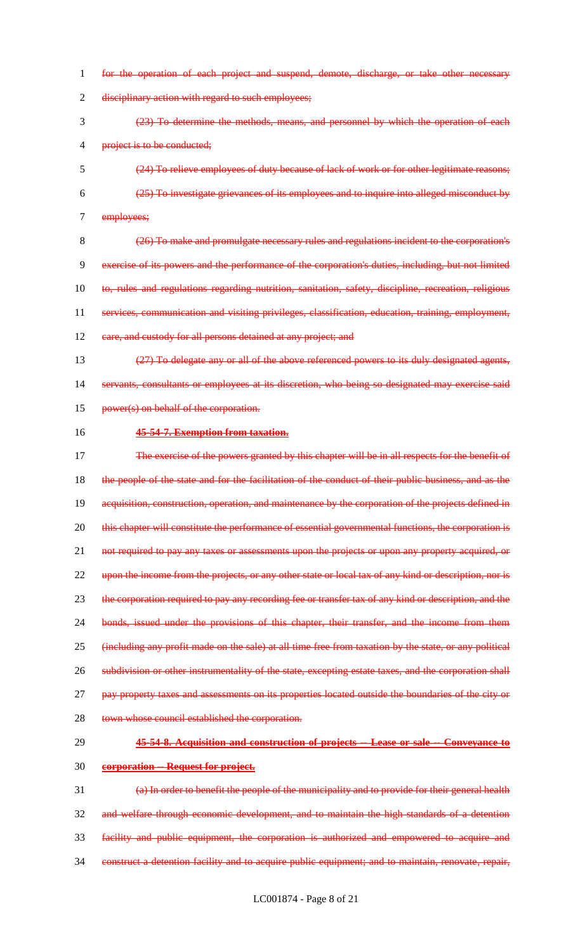1 for the operation of each project and suspend, demote, discharge, or take other necessary 2 disciplinary action with regard to such employees; 3 (23) To determine the methods, means, and personnel by which the operation of each 4 project is to be conducted; 5 (24) To relieve employees of duty because of lack of work or for other legitimate reasons; 6 (25) To investigate grievances of its employees and to inquire into alleged misconduct by 7 employees; 8 (26) To make and promulgate necessary rules and regulations incident to the corporation's 9 exercise of its powers and the performance of the corporation's duties, including, but not limited 10 to, rules and regulations regarding nutrition, sanitation, safety, discipline, recreation, religious 11 services, communication and visiting privileges, classification, education, training, employment, 12 eare, and custody for all persons detained at any project; and 13 (27) To delegate any or all of the above referenced powers to its duly designated agents, 14 servants, consultants or employees at its discretion, who being so designated may exercise said 15 power(s) on behalf of the corporation. 16 **45-54-7. Exemption from taxation.** 17 The exercise of the powers granted by this chapter will be in all respects for the benefit of 18 the people of the state and for the facilitation of the conduct of their public business, and as the 19 acquisition, construction, operation, and maintenance by the corporation of the projects defined in 20 this chapter will constitute the performance of essential governmental functions, the corporation is 21 not required to pay any taxes or assessments upon the projects or upon any property acquired, or 22 upon the income from the projects, or any other state or local tax of any kind or description, nor is 23 the corporation required to pay any recording fee or transfer tax of any kind or description, and the 24 bonds, issued under the provisions of this chapter, their transfer, and the income from them 25 (including any profit made on the sale) at all time free from taxation by the state, or any political 26 subdivision or other instrumentality of the state, excepting estate taxes, and the corporation shall 27 pay property taxes and assessments on its properties located outside the boundaries of the city or 28 town whose council established the corporation. 29 **45-54-8. Acquisition and construction of projects -- Lease or sale -- Conveyance to**  30 **corporation -- Request for project.** 31 (a) In order to benefit the people of the municipality and to provide for their general health 32 and welfare through economic development, and to maintain the high standards of a detention 33 facility and public equipment, the corporation is authorized and empowered to acquire and 34 construct a detention facility and to acquire public equipment; and to maintain, renovate, repair,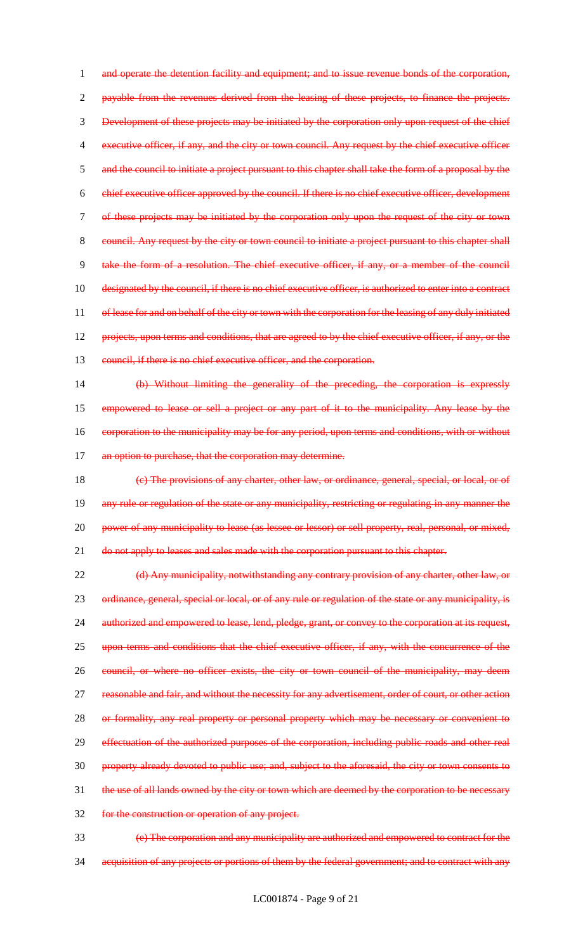1 and operate the detention facility and equipment; and to issue revenue bonds of the corporation, 2 payable from the revenues derived from the leasing of these projects, to finance the projects. 3 Development of these projects may be initiated by the corporation only upon request of the chief 4 executive officer, if any, and the city or town council. Any request by the chief executive officer 5 and the council to initiate a project pursuant to this chapter shall take the form of a proposal by the 6 chief executive officer approved by the council. If there is no chief executive officer, development 7 of these projects may be initiated by the corporation only upon the request of the city or town 8 council. Any request by the city or town council to initiate a project pursuant to this chapter shall 9 take the form of a resolution. The chief executive officer, if any, or a member of the council 10 designated by the council, if there is no chief executive officer, is authorized to enter into a contract 11 of lease for and on behalf of the city or town with the corporation for the leasing of any duly initiated 12 projects, upon terms and conditions, that are agreed to by the chief executive officer, if any, or the 13 council, if there is no chief executive officer, and the corporation. 14 (b) Without limiting the generality of the preceding, the corporation is expressly

15 empowered to lease or sell a project or any part of it to the municipality. Any lease by the 16 corporation to the municipality may be for any period, upon terms and conditions, with or without 17 an option to purchase, that the corporation may determine.

18 (c) The provisions of any charter, other law, or ordinance, general, special, or local, or of 19 any rule or regulation of the state or any municipality, restricting or regulating in any manner the 20 power of any municipality to lease (as lessee or lessor) or sell property, real, personal, or mixed, 21 do not apply to leases and sales made with the corporation pursuant to this chapter.

22 (d) Any municipality, notwithstanding any contrary provision of any charter, other law, or 23 ordinance, general, special or local, or of any rule or regulation of the state or any municipality, is 24 authorized and empowered to lease, lend, pledge, grant, or convey to the corporation at its request, 25 upon terms and conditions that the chief executive officer, if any, with the concurrence of the 26 council, or where no officer exists, the city or town council of the municipality, may deem 27 reasonable and fair, and without the necessity for any advertisement, order of court, or other action 28 or formality, any real property or personal property which may be necessary or convenient to 29 effectuation of the authorized purposes of the corporation, including public roads and other real 30 property already devoted to public use; and, subject to the aforesaid, the city or town consents to 31 the use of all lands owned by the city or town which are deemed by the corporation to be necessary 32 for the construction or operation of any project.

33 (e) The corporation and any municipality are authorized and empowered to contract for the 34 acquisition of any projects or portions of them by the federal government; and to contract with any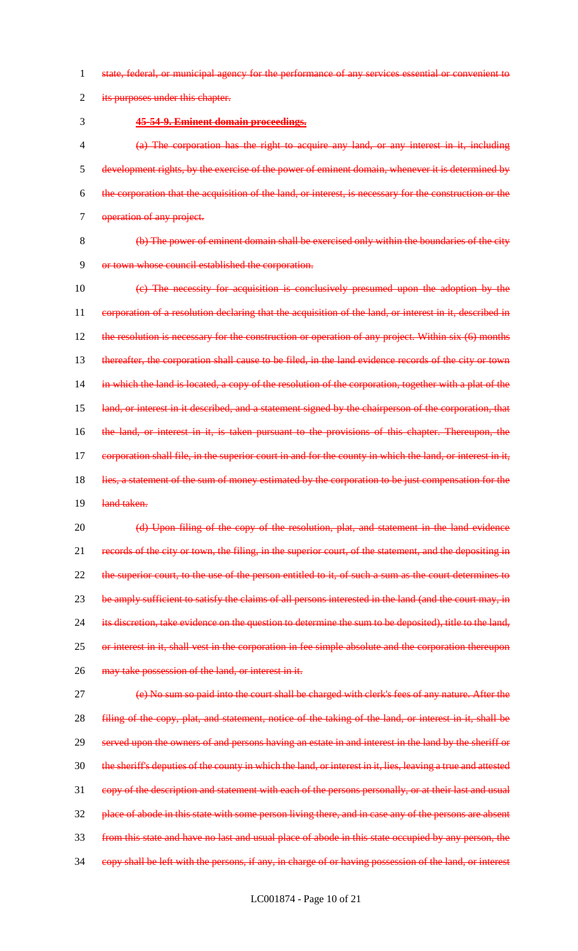1 state, federal, or municipal agency for the performance of any services essential or convenient to

2 its purposes under this chapter.

3 **45-54-9. Eminent domain proceedings.**

 (a) The corporation has the right to acquire any land, or any interest in it, including development rights, by the exercise of the power of eminent domain, whenever it is determined by the corporation that the acquisition of the land, or interest, is necessary for the construction or the 7 operation of any project.

8 (b) The power of eminent domain shall be exercised only within the boundaries of the city 9 or town whose council established the corporation.

10 (c) The necessity for acquisition is conclusively presumed upon the adoption by the 11 corporation of a resolution declaring that the acquisition of the land, or interest in it, described in 12 the resolution is necessary for the construction or operation of any project. Within six (6) months 13 thereafter, the corporation shall cause to be filed, in the land evidence records of the city or town 14 in which the land is located, a copy of the resolution of the corporation, together with a plat of the 15 land, or interest in it described, and a statement signed by the chairperson of the corporation, that 16 the land, or interest in it, is taken pursuant to the provisions of this chapter. Thereupon, the 17 eorporation shall file, in the superior court in and for the county in which the land, or interest in it, 18 lies, a statement of the sum of money estimated by the corporation to be just compensation for the 19 land taken.

20 (d) Upon filing of the copy of the resolution, plat, and statement in the land evidence 21 records of the city or town, the filing, in the superior court, of the statement, and the depositing in 22 the superior court, to the use of the person entitled to it, of such a sum as the court determines to 23 be amply sufficient to satisfy the claims of all persons interested in the land (and the court may, in 24 its discretion, take evidence on the question to determine the sum to be deposited), title to the land, 25 or interest in it, shall vest in the corporation in fee simple absolute and the corporation thereupon 26 may take possession of the land, or interest in it.

27 (e) No sum so paid into the court shall be charged with clerk's fees of any nature. After the **filing of the copy, plat, and statement, notice of the taking of the land, or interest in it, shall be**  served upon the owners of and persons having an estate in and interest in the land by the sheriff or the sheriff's deputies of the county in which the land, or interest in it, lies, leaving a true and attested copy of the description and statement with each of the persons personally, or at their last and usual 32 place of abode in this state with some person living there, and in case any of the persons are absent from this state and have no last and usual place of abode in this state occupied by any person, the copy shall be left with the persons, if any, in charge of or having possession of the land, or interest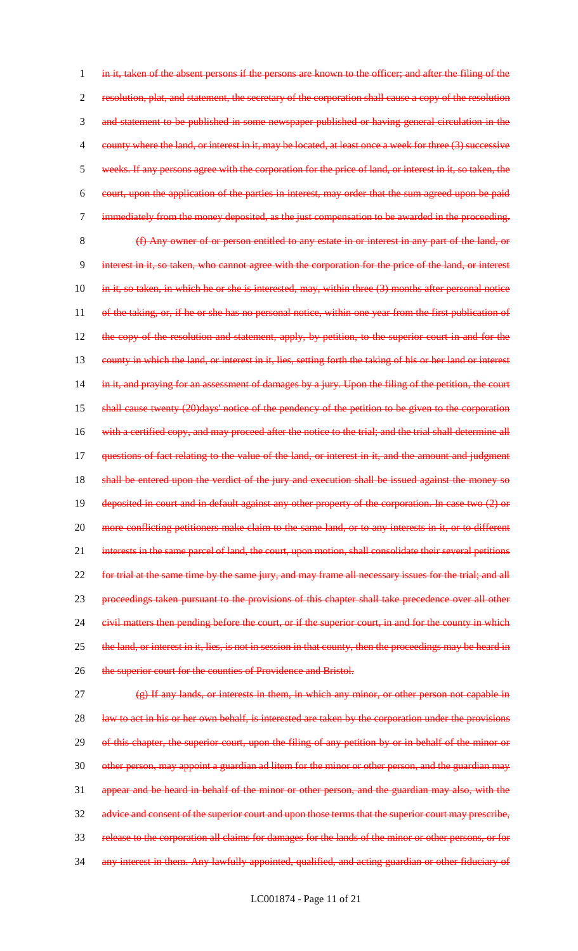1 in it, taken of the absent persons if the persons are known to the officer; and after the filing of the 2 resolution, plat, and statement, the secretary of the corporation shall cause a copy of the resolution 3 and statement to be published in some newspaper published or having general circulation in the 4 county where the land, or interest in it, may be located, at least once a week for three (3) successive 5 weeks. If any persons agree with the corporation for the price of land, or interest in it, so taken, the 6 court, upon the application of the parties in interest, may order that the sum agreed upon be paid 7 immediately from the money deposited, as the just compensation to be awarded in the proceeding. 8 (f) Any owner of or person entitled to any estate in or interest in any part of the land, or 9 interest in it, so taken, who cannot agree with the corporation for the price of the land, or interest 10 in it, so taken, in which he or she is interested, may, within three (3) months after personal notice 11 of the taking, or, if he or she has no personal notice, within one year from the first publication of 12 the copy of the resolution and statement, apply, by petition, to the superior court in and for the 13 county in which the land, or interest in it, lies, setting forth the taking of his or her land or interest 14 in it, and praying for an assessment of damages by a jury. Upon the filing of the petition, the court 15 shall cause twenty (20)days' notice of the pendency of the petition to be given to the corporation 16 with a certified copy, and may proceed after the notice to the trial; and the trial shall determine all 17 questions of fact relating to the value of the land, or interest in it, and the amount and judgment 18 shall be entered upon the verdict of the jury and execution shall be issued against the money so 19 deposited in court and in default against any other property of the corporation. In case two (2) or 20 more conflicting petitioners make claim to the same land, or to any interests in it, or to different 21 interests in the same parcel of land, the court, upon motion, shall consolidate their several petitions 22 for trial at the same time by the same jury, and may frame all necessary issues for the trial; and all 23 proceedings taken pursuant to the provisions of this chapter shall take precedence over all other 24 civil matters then pending before the court, or if the superior court, in and for the county in which 25 the land, or interest in it, lies, is not in session in that county, then the proceedings may be heard in 26 the superior court for the counties of Providence and Bristol. 27 (g) If any lands, or interests in them, in which any minor, or other person not capable in 28 law to act in his or her own behalf, is interested are taken by the corporation under the provisions 29 of this chapter, the superior court, upon the filing of any petition by or in behalf of the minor or 30 other person, may appoint a guardian ad litem for the minor or other person, and the guardian may 31 appear and be heard in behalf of the minor or other person, and the guardian may also, with the 32 advice and consent of the superior court and upon those terms that the superior court may prescribe, 33 release to the corporation all claims for damages for the lands of the minor or other persons, or for

34 any interest in them. Any lawfully appointed, qualified, and acting guardian or other fiduciary of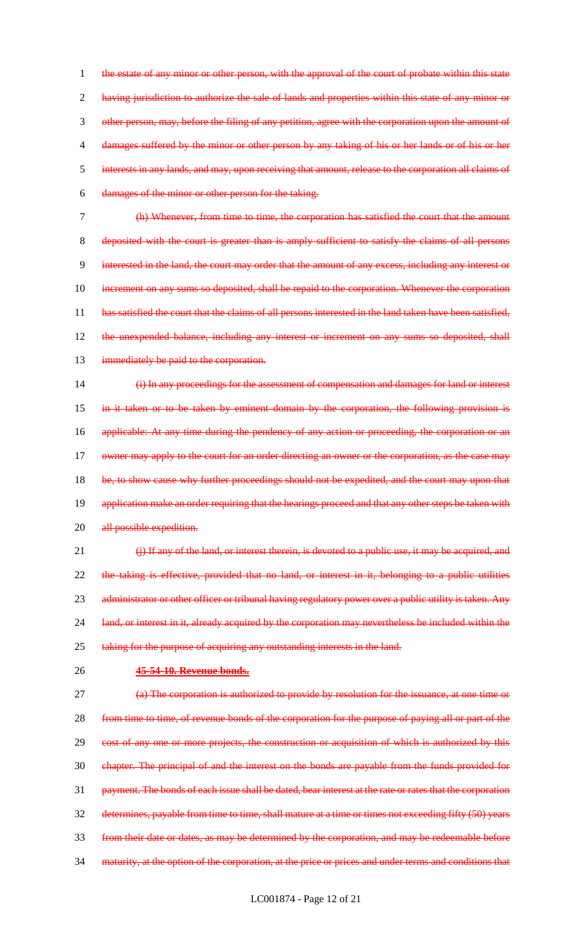1 the estate of any minor or other person, with the approval of the court of probate within this state 2 having jurisdiction to authorize the sale of lands and properties within this state of any minor or other person, may, before the filing of any petition, agree with the corporation upon the amount of damages suffered by the minor or other person by any taking of his or her lands or of his or her interests in any lands, and may, upon receiving that amount, release to the corporation all claims of damages of the minor or other person for the taking.

7 (h) Whenever, from time to time, the corporation has satisfied the court that the amount 8 deposited with the court is greater than is amply sufficient to satisfy the claims of all persons 9 interested in the land, the court may order that the amount of any excess, including any interest or 10 increment on any sums so deposited, shall be repaid to the corporation. Whenever the corporation 11 has satisfied the court that the claims of all persons interested in the land taken have been satisfied, 12 the unexpended balance, including any interest or increment on any sums so deposited, shall 13 immediately be paid to the corporation.

14 (i) In any proceedings for the assessment of compensation and damages for land or interest 15 in it taken or to be taken by eminent domain by the corporation, the following provision is 16 applicable: At any time during the pendency of any action or proceeding, the corporation or an 17 owner may apply to the court for an order directing an owner or the corporation, as the case may 18 be, to show cause why further proceedings should not be expedited, and the court may upon that 19 application make an order requiring that the hearings proceed and that any other steps be taken with 20 all possible expedition.

21 (i) If any of the land, or interest therein, is devoted to a public use, it may be acquired, and 22 the taking is effective, provided that no land, or interest in it, belonging to a public utilities 23 administrator or other officer or tribunal having regulatory power over a public utility is taken. Any 24 land, or interest in it, already acquired by the corporation may nevertheless be included within the 25 taking for the purpose of acquiring any outstanding interests in the land.

## 26 **45-54-10. Revenue bonds.**

 (a) The corporation is authorized to provide by resolution for the issuance, at one time or from time to time, of revenue bonds of the corporation for the purpose of paying all or part of the 29 cost of any one or more projects, the construction or acquisition of which is authorized by this chapter. The principal of and the interest on the bonds are payable from the funds provided for payment. The bonds of each issue shall be dated, bear interest at the rate or rates that the corporation determines, payable from time to time, shall mature at a time or times not exceeding fifty (50) years from their date or dates, as may be determined by the corporation, and may be redeemable before 34 maturity, at the option of the corporation, at the price or prices and under terms and conditions that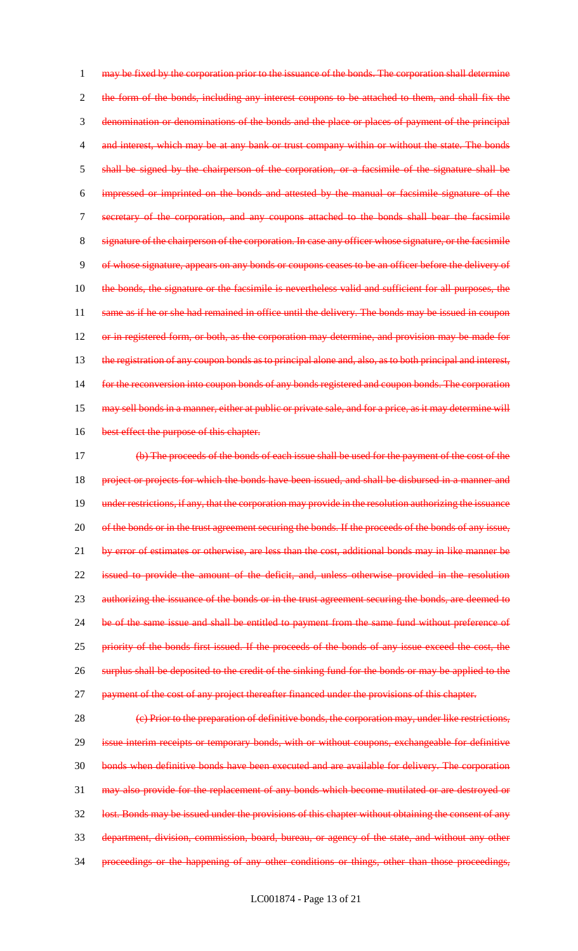1 may be fixed by the corporation prior to the issuance of the bonds. The corporation shall determine 2 the form of the bonds, including any interest coupons to be attached to them, and shall fix the 3 denomination or denominations of the bonds and the place or places of payment of the principal 4 and interest, which may be at any bank or trust company within or without the state. The bonds 5 shall be signed by the chairperson of the corporation, or a facsimile of the signature shall be 6 impressed or imprinted on the bonds and attested by the manual or facsimile signature of the 7 secretary of the corporation, and any coupons attached to the bonds shall bear the facsimile 8 signature of the chairperson of the corporation. In case any officer whose signature, or the facsimile 9 of whose signature, appears on any bonds or coupons ceases to be an officer before the delivery of 10 the bonds, the signature or the facsimile is nevertheless valid and sufficient for all purposes, the 11 same as if he or she had remained in office until the delivery. The bonds may be issued in coupon 12 or in registered form, or both, as the corporation may determine, and provision may be made for 13 the registration of any coupon bonds as to principal alone and, also, as to both principal and interest, 14 for the reconversion into coupon bonds of any bonds registered and coupon bonds. The corporation 15 may sell bonds in a manner, either at public or private sale, and for a price, as it may determine will 16 best effect the purpose of this chapter. 17 (b) The proceeds of the bonds of each issue shall be used for the payment of the cost of the

18 project or projects for which the bonds have been issued, and shall be disbursed in a manner and 19 under restrictions, if any, that the corporation may provide in the resolution authorizing the issuance 20 of the bonds or in the trust agreement securing the bonds. If the proceeds of the bonds of any issue, 21 by error of estimates or otherwise, are less than the cost, additional bonds may in like manner be 22 issued to provide the amount of the deficit, and, unless otherwise provided in the resolution 23 authorizing the issuance of the bonds or in the trust agreement securing the bonds, are deemed to 24 be of the same issue and shall be entitled to payment from the same fund without preference of 25 priority of the bonds first issued. If the proceeds of the bonds of any issue exceed the cost, the 26 surplus shall be deposited to the credit of the sinking fund for the bonds or may be applied to the 27 payment of the cost of any project thereafter financed under the provisions of this chapter.

28 (e) Prior to the preparation of definitive bonds, the corporation may, under like restrictions, 29 issue interim receipts or temporary bonds, with or without coupons, exchangeable for definitive 30 bonds when definitive bonds have been executed and are available for delivery. The corporation 31 may also provide for the replacement of any bonds which become mutilated or are destroyed or 32 lost. Bonds may be issued under the provisions of this chapter without obtaining the consent of any 33 department, division, commission, board, bureau, or agency of the state, and without any other 34 proceedings or the happening of any other conditions or things, other than those proceedings,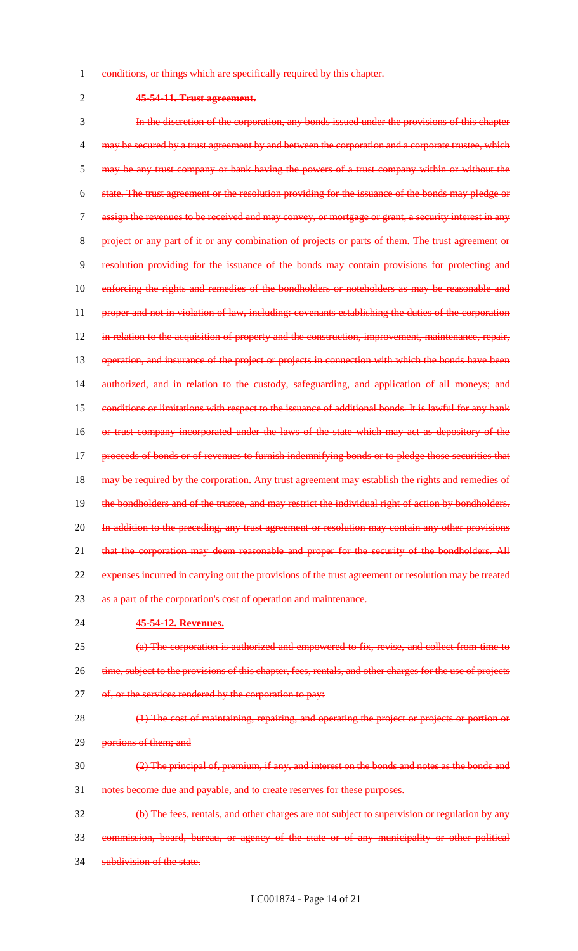- 1 conditions, or things which are specifically required by this chapter.
- 

## 2 **45-54-11. Trust agreement.**

3 In the discretion of the corporation, any bonds issued under the provisions of this chapter 4 may be secured by a trust agreement by and between the corporation and a corporate trustee, which 5 may be any trust company or bank having the powers of a trust company within or without the 6 state. The trust agreement or the resolution providing for the issuance of the bonds may pledge or 7 assign the revenues to be received and may convey, or mortgage or grant, a security interest in any 8 project or any part of it or any combination of projects or parts of them. The trust agreement or 9 resolution providing for the issuance of the bonds may contain provisions for protecting and 10 enforcing the rights and remedies of the bondholders or noteholders as may be reasonable and 11 proper and not in violation of law, including: covenants establishing the duties of the corporation 12 in relation to the acquisition of property and the construction, improvement, maintenance, repair, 13 operation, and insurance of the project or projects in connection with which the bonds have been 14 authorized, and in relation to the custody, safeguarding, and application of all moneys; and 15 conditions or limitations with respect to the issuance of additional bonds. It is lawful for any bank 16 or trust company incorporated under the laws of the state which may act as depository of the 17 proceeds of bonds or of revenues to furnish indemnifying bonds or to pledge those securities that 18 may be required by the corporation. Any trust agreement may establish the rights and remedies of 19 the bondholders and of the trustee, and may restrict the individual right of action by bondholders. 20 In addition to the preceding, any trust agreement or resolution may contain any other provisions 21 that the corporation may deem reasonable and proper for the security of the bondholders. All 22 expenses incurred in carrying out the provisions of the trust agreement or resolution may be treated 23 as a part of the corporation's cost of operation and maintenance. 24 **45-54-12. Revenues.** 25 (a) The corporation is authorized and empowered to fix, revise, and collect from time to

- 26 time, subject to the provisions of this chapter, fees, rentals, and other charges for the use of projects
- 27 of, or the services rendered by the corporation to pay:
- 28 (1) The cost of maintaining, repairing, and operating the project or projects or portion or 29 portions of them; and
- $\frac{2}{2}$  The principal of, premium, if any, and interest on the bonds and notes as the bonds and 31 notes become due and payable, and to create reserves for these purposes.
- 32 (b) The fees, rentals, and other charges are not subject to supervision or regulation by any 33 commission, board, bureau, or agency of the state or of any municipality or other political
- 34 subdivision of the state.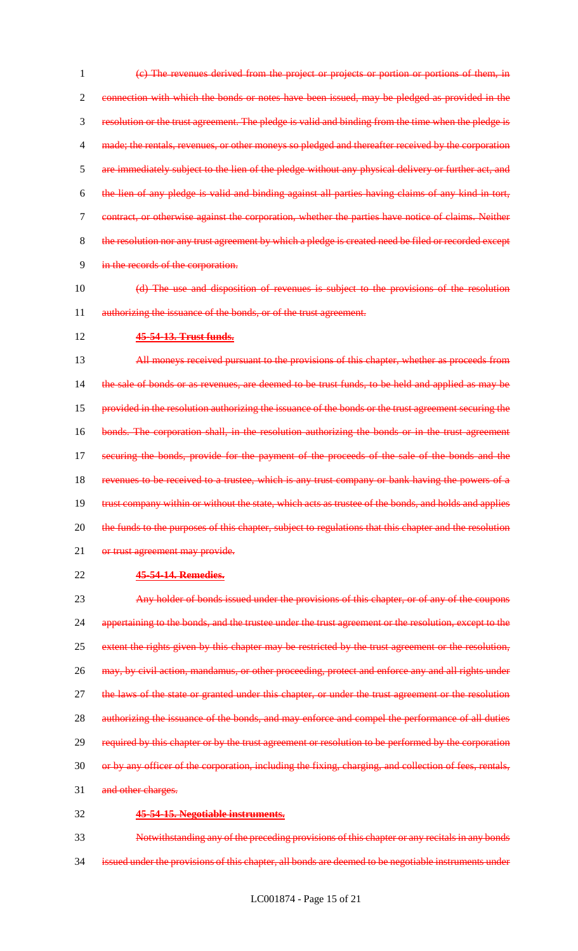(c) The revenues derived from the project or projects or portion or portions of them, in connection with which the bonds or notes have been issued, may be pledged as provided in the resolution or the trust agreement. The pledge is valid and binding from the time when the pledge is 4 made; the rentals, revenues, or other moneys so pledged and thereafter received by the corporation are immediately subject to the lien of the pledge without any physical delivery or further act, and the lien of any pledge is valid and binding against all parties having claims of any kind in tort, contract, or otherwise against the corporation, whether the parties have notice of claims. Neither 8 the resolution nor any trust agreement by which a pledge is created need be filed or recorded except in the records of the corporation.

- 10 (d) The use and disposition of revenues is subject to the provisions of the resolution 11 authorizing the issuance of the bonds, or of the trust agreement.
- 12 **45-54-13. Trust funds.**

13 All moneys received pursuant to the provisions of this chapter, whether as proceeds from 14 the sale of bonds or as revenues, are deemed to be trust funds, to be held and applied as may be 15 provided in the resolution authorizing the issuance of the bonds or the trust agreement securing the 16 bonds. The corporation shall, in the resolution authorizing the bonds or in the trust agreement 17 securing the bonds, provide for the payment of the proceeds of the sale of the bonds and the 18 revenues to be received to a trustee, which is any trust company or bank having the powers of a 19 trust company within or without the state, which acts as trustee of the bonds, and holds and applies 20 the funds to the purposes of this chapter, subject to regulations that this chapter and the resolution 21 or trust agreement may provide.

22 **45-54-14. Remedies.**

23 Any holder of bonds issued under the provisions of this chapter, or of any of the coupons 24 appertaining to the bonds, and the trustee under the trust agreement or the resolution, except to the 25 extent the rights given by this chapter may be restricted by the trust agreement or the resolution, 26 may, by civil action, mandamus, or other proceeding, protect and enforce any and all rights under 27 the laws of the state or granted under this chapter, or under the trust agreement or the resolution 28 authorizing the issuance of the bonds, and may enforce and compel the performance of all duties 29 required by this chapter or by the trust agreement or resolution to be performed by the corporation 30 or by any officer of the corporation, including the fixing, charging, and collection of fees, rentals, 31 and other charges. 32 **45-54-15. Negotiable instruments.**

33 Notwithstanding any of the preceding provisions of this chapter or any recitals in any bonds 34 issued under the provisions of this chapter, all bonds are deemed to be negotiable instruments under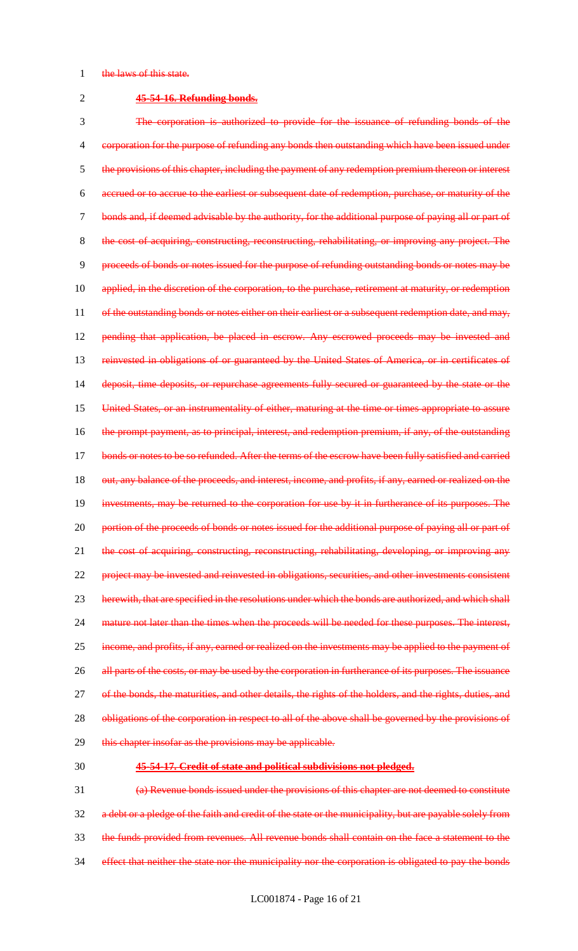#### 1 the laws of this state.

#### 2 **45-54-16. Refunding bonds.**

3 The corporation is authorized to provide for the issuance of refunding bonds of the 4 corporation for the purpose of refunding any bonds then outstanding which have been issued under 5 the provisions of this chapter, including the payment of any redemption premium thereon or interest 6 accrued or to accrue to the earliest or subsequent date of redemption, purchase, or maturity of the 7 bonds and, if deemed advisable by the authority, for the additional purpose of paying all or part of 8 the cost of acquiring, constructing, reconstructing, rehabilitating, or improving any project. The 9 proceeds of bonds or notes issued for the purpose of refunding outstanding bonds or notes may be 10 applied, in the discretion of the corporation, to the purchase, retirement at maturity, or redemption 11 of the outstanding bonds or notes either on their earliest or a subsequent redemption date, and may, 12 pending that application, be placed in escrow. Any escrowed proceeds may be invested and 13 reinvested in obligations of or guaranteed by the United States of America, or in certificates of 14 deposit, time deposits, or repurchase agreements fully secured or guaranteed by the state or the 15 United States, or an instrumentality of either, maturing at the time or times appropriate to assure 16 the prompt payment, as to principal, interest, and redemption premium, if any, of the outstanding 17 bonds or notes to be so refunded. After the terms of the escrow have been fully satisfied and carried 18 out, any balance of the proceeds, and interest, income, and profits, if any, earned or realized on the 19 investments, may be returned to the corporation for use by it in furtherance of its purposes. The 20 portion of the proceeds of bonds or notes issued for the additional purpose of paying all or part of 21 the cost of acquiring, constructing, reconstructing, rehabilitating, developing, or improving any 22 project may be invested and reinvested in obligations, securities, and other investments consistent 23 herewith, that are specified in the resolutions under which the bonds are authorized, and which shall 24 mature not later than the times when the proceeds will be needed for these purposes. The interest, 25 income, and profits, if any, earned or realized on the investments may be applied to the payment of 26 all parts of the costs, or may be used by the corporation in furtherance of its purposes. The issuance 27 of the bonds, the maturities, and other details, the rights of the holders, and the rights, duties, and 28 obligations of the corporation in respect to all of the above shall be governed by the provisions of 29 this chapter insofar as the provisions may be applicable.

#### 30 **45-54-17. Credit of state and political subdivisions not pledged.**

 (a) Revenue bonds issued under the provisions of this chapter are not deemed to constitute a debt or a pledge of the faith and credit of the state or the municipality, but are payable solely from the funds provided from revenues. All revenue bonds shall contain on the face a statement to the 34 effect that neither the state nor the municipality nor the corporation is obligated to pay the bonds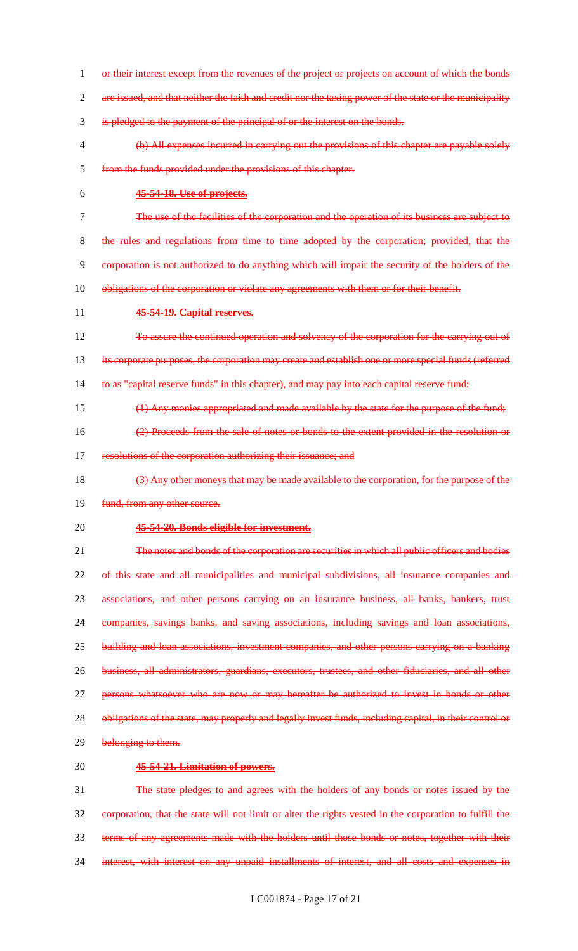1 or their interest except from the revenues of the project or projects on account of which the bonds 2 are issued, and that neither the faith and credit nor the taxing power of the state or the municipality is pledged to the payment of the principal of or the interest on the bonds. (b) All expenses incurred in carrying out the provisions of this chapter are payable solely from the funds provided under the provisions of this chapter. **45-54-18. Use of projects.** The use of the facilities of the corporation and the operation of its business are subject to the rules and regulations from time to time adopted by the corporation; provided, that the corporation is not authorized to do anything which will impair the security of the holders of the 10 obligations of the corporation or violate any agreements with them or for their benefit. **45-54-19. Capital reserves.** 12 To assure the continued operation and solvency of the corporation for the carrying out of its corporate purposes, the corporation may create and establish one or more special funds (referred 14 to as "capital reserve funds" in this chapter), and may pay into each capital reserve fund: (1) Any monies appropriated and made available by the state for the purpose of the fund; (2) Proceeds from the sale of notes or bonds to the extent provided in the resolution or 17 resolutions of the corporation authorizing their issuance; and (3) Any other moneys that may be made available to the corporation, for the purpose of the 19 fund, from any other source. **45-54-20. Bonds eligible for investment.** The notes and bonds of the corporation are securities in which all public officers and bodies of this state and all municipalities and municipal subdivisions, all insurance companies and associations, and other persons carrying on an insurance business, all banks, bankers, trust companies, savings banks, and saving associations, including savings and loan associations, building and loan associations, investment companies, and other persons carrying on a banking business, all administrators, guardians, executors, trustees, and other fiduciaries, and all other 27 persons whatsoever who are now or may hereafter be authorized to invest in bonds or other 28 obligations of the state, may properly and legally invest funds, including capital, in their control or 29 belonging to them. **45-54-21. Limitation of powers.** The state pledges to and agrees with the holders of any bonds or notes issued by the corporation, that the state will not limit or alter the rights vested in the corporation to fulfill the terms of any agreements made with the holders until those bonds or notes, together with their interest, with interest on any unpaid installments of interest, and all costs and expenses in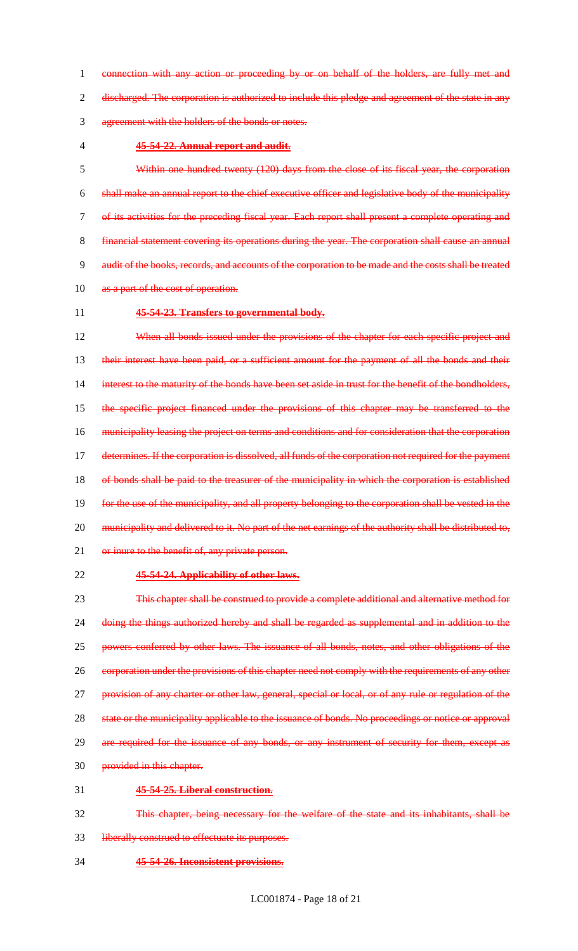connection with any action or proceeding by or on behalf of the holders, are fully met and discharged. The corporation is authorized to include this pledge and agreement of the state in any agreement with the holders of the bonds or notes.

## **45-54-22. Annual report and audit.**

 Within one hundred twenty (120) days from the close of its fiscal year, the corporation shall make an annual report to the chief executive officer and legislative body of the municipality of its activities for the preceding fiscal year. Each report shall present a complete operating and financial statement covering its operations during the year. The corporation shall cause an annual audit of the books, records, and accounts of the corporation to be made and the costs shall be treated 10 as a part of the cost of operation.

#### **45-54-23. Transfers to governmental body.**

12 When all bonds issued under the provisions of the chapter for each specific project and 13 their interest have been paid, or a sufficient amount for the payment of all the bonds and their 14 interest to the maturity of the bonds have been set aside in trust for the benefit of the bondholders, the specific project financed under the provisions of this chapter may be transferred to the municipality leasing the project on terms and conditions and for consideration that the corporation 17 determines. If the corporation is dissolved, all funds of the corporation not required for the payment 18 of bonds shall be paid to the treasurer of the municipality in which the corporation is established for the use of the municipality, and all property belonging to the corporation shall be vested in the 20 municipality and delivered to it. No part of the net earnings of the authority shall be distributed to, 21 or inure to the benefit of, any private person.

## **45-54-24. Applicability of other laws.**

 This chapter shall be construed to provide a complete additional and alternative method for doing the things authorized hereby and shall be regarded as supplemental and in addition to the powers conferred by other laws. The issuance of all bonds, notes, and other obligations of the 26 corporation under the provisions of this chapter need not comply with the requirements of any other 27 provision of any charter or other law, general, special or local, or of any rule or regulation of the state or the municipality applicable to the issuance of bonds. No proceedings or notice or approval 29 are required for the issuance of any bonds, or any instrument of security for them, except as provided in this chapter. **45-54-25. Liberal construction.**

- This chapter, being necessary for the welfare of the state and its inhabitants, shall be
- liberally construed to effectuate its purposes.
- **45-54-26. Inconsistent provisions.**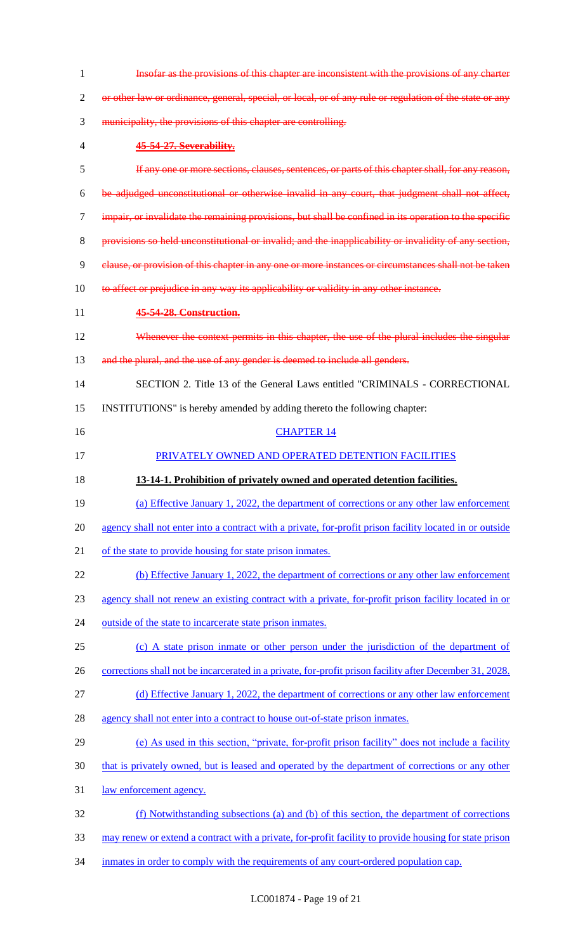| 1  | Insofar as the provisions of this chapter are inconsistent with the provisions of any charter           |
|----|---------------------------------------------------------------------------------------------------------|
| 2  | or other law or ordinance, general, special, or local, or of any rule or regulation of the state or any |
| 3  | municipality, the provisions of this chapter are controlling.                                           |
| 4  | 45-54-27. Severability.                                                                                 |
| 5  | If any one or more sections, clauses, sentences, or parts of this chapter shall, for any reason,        |
| 6  | be adjudged unconstitutional or otherwise invalid in any court, that judgment shall not affect,         |
| 7  | impair, or invalidate the remaining provisions, but shall be confined in its operation to the specific  |
| 8  | provisions so held unconstitutional or invalid; and the inapplicability or invalidity of any section,   |
| 9  | clause, or provision of this chapter in any one or more instances or circumstances shall not be taken   |
| 10 | to affect or prejudice in any way its applicability or validity in any other instance.                  |
| 11 | 45-54-28. Construction.                                                                                 |
| 12 | Whenever the context permits in this chapter, the use of the plural includes the singular               |
| 13 | and the plural, and the use of any gender is deemed to include all genders.                             |
| 14 | SECTION 2. Title 13 of the General Laws entitled "CRIMINALS - CORRECTIONAL                              |
| 15 | INSTITUTIONS" is hereby amended by adding thereto the following chapter:                                |
| 16 | <b>CHAPTER 14</b>                                                                                       |
| 17 | PRIVATELY OWNED AND OPERATED DETENTION FACILITIES                                                       |
| 18 | 13-14-1. Prohibition of privately owned and operated detention facilities.                              |
| 19 | (a) Effective January 1, 2022, the department of corrections or any other law enforcement               |
|    |                                                                                                         |
| 20 | agency shall not enter into a contract with a private, for-profit prison facility located in or outside |
| 21 | of the state to provide housing for state prison inmates.                                               |
| 22 | (b) Effective January 1, 2022, the department of corrections or any other law enforcement               |
| 23 | agency shall not renew an existing contract with a private, for-profit prison facility located in or    |
| 24 | outside of the state to incarcerate state prison inmates.                                               |
| 25 | (c) A state prison inmate or other person under the jurisdiction of the department of                   |
| 26 | corrections shall not be incarcerated in a private, for-profit prison facility after December 31, 2028. |
| 27 | (d) Effective January 1, 2022, the department of corrections or any other law enforcement               |
| 28 | agency shall not enter into a contract to house out-of-state prison inmates.                            |
| 29 | (e) As used in this section, "private, for-profit prison facility" does not include a facility          |
| 30 | that is privately owned, but is leased and operated by the department of corrections or any other       |
| 31 | <u>law enforcement agency.</u>                                                                          |
| 32 | (f) Notwithstanding subsections (a) and (b) of this section, the department of corrections              |
| 33 | may renew or extend a contract with a private, for-profit facility to provide housing for state prison  |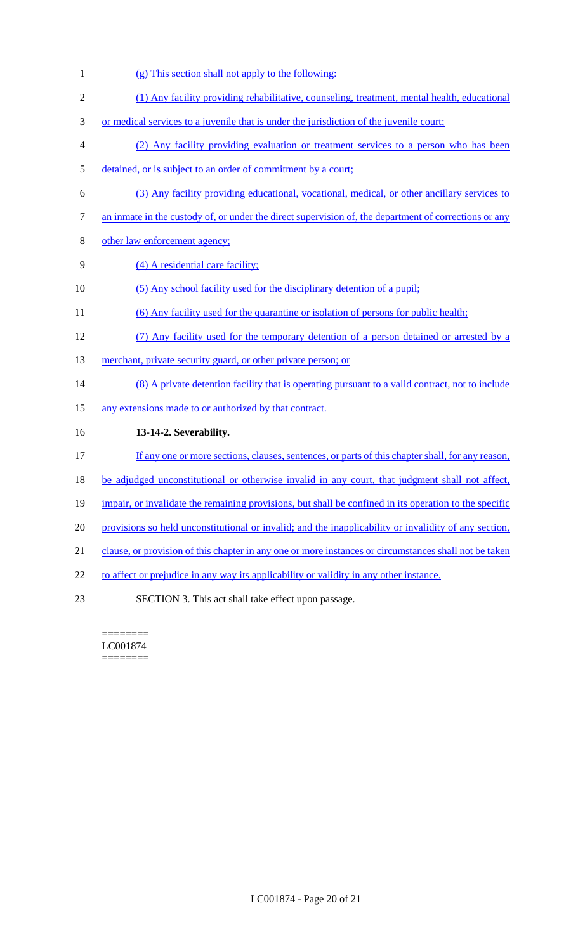- 1 (g) This section shall not apply to the following:
- 2 (1) Any facility providing rehabilitative, counseling, treatment, mental health, educational
- 3 or medical services to a juvenile that is under the jurisdiction of the juvenile court;
- 4 (2) Any facility providing evaluation or treatment services to a person who has been
- 5 detained, or is subject to an order of commitment by a court;
- 6 (3) Any facility providing educational, vocational, medical, or other ancillary services to
- 7 an inmate in the custody of, or under the direct supervision of, the department of corrections or any
- 8 other law enforcement agency;
- 9 (4) A residential care facility;
- 10 (5) Any school facility used for the disciplinary detention of a pupil;
- 11 (6) Any facility used for the quarantine or isolation of persons for public health;
- 12 (7) Any facility used for the temporary detention of a person detained or arrested by a
- 13 merchant, private security guard, or other private person; or
- 14 (8) A private detention facility that is operating pursuant to a valid contract, not to include
- 15 any extensions made to or authorized by that contract.
- 16 **13-14-2. Severability.**
- 17 If any one or more sections, clauses, sentences, or parts of this chapter shall, for any reason,
- 18 be adjudged unconstitutional or otherwise invalid in any court, that judgment shall not affect,
- 19 impair, or invalidate the remaining provisions, but shall be confined in its operation to the specific
- 20 provisions so held unconstitutional or invalid; and the inapplicability or invalidity of any section,
- 21 clause, or provision of this chapter in any one or more instances or circumstances shall not be taken
- 22 to affect or prejudice in any way its applicability or validity in any other instance.
- 23 SECTION 3. This act shall take effect upon passage.

======== LC001874 ========